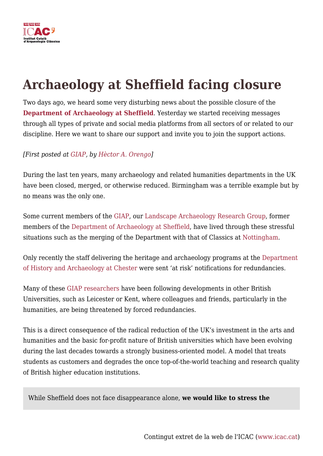

# **Archaeology at Sheffield facing closure**

Two days ago, we heard some very disturbing news about the possible closure of the **[Department of Archaeology at Sheffield](https://www.sheffield.ac.uk/archaeology)**. Yesterday we started receiving messages through all types of private and social media platforms from all sectors of or related to our discipline. Here we want to share our support and invite you to join the support actions.

### *[First posted at [GIAP](https://giap.icac.cat/2021/05/20/archaeology-at-sheffield-facing-closure/), by [Hèctor A. Orengo](https://icac.cat/en/who-are-we/staff/horengo/)]*

During the last ten years, many archaeology and related humanities departments in the UK have been closed, merged, or otherwise reduced. Birmingham was a terrible example but by no means was the only one.

Some current members of the [GIAP](https://giap.icac.cat/2021/05/20/archaeology-at-sheffield-facing-closure/), our [Landscape Archaeology Research Group,](https://giap.icac.cat/) former members of the [Department of Archaeology at Sheffield,](https://www.sheffield.ac.uk/archaeology) have lived through these stressful situations such as the merging of the Department with that of Classics at [Nottingham.](https://www.nottingham.ac.uk/humanities/departments/classics-and-archaeology/)

Only recently the staff delivering the heritage and archaeology programs at the [Department](https://www1.chester.ac.uk/departments/history-and-archaeology) [of History and Archaeology at Chester](https://www1.chester.ac.uk/departments/history-and-archaeology) were sent 'at risk' notifications for redundancies.

Many of these [GIAP researchers](https://giap.icac.cat/researchers/) have been following developments in other British Universities, such as Leicester or Kent, where colleagues and friends, particularly in the humanities, are being threatened by forced redundancies.

This is a direct consequence of the radical reduction of the UK's investment in the arts and humanities and the basic for-profit nature of British universities which have been evolving during the last decades towards a strongly business-oriented model. A model that treats students as customers and degrades the once top-of-the-world teaching and research quality of British higher education institutions.

While Sheffield does not face disappearance alone, **we would like to stress the**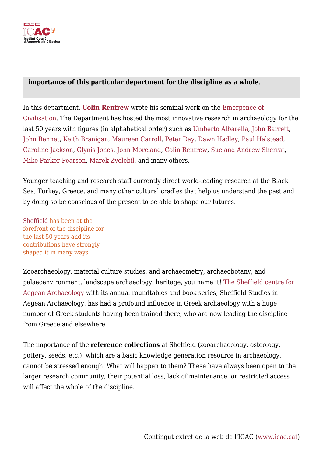

#### **importance of this particular department for the discipline as a whole**.

In this department, **[Colin Renfrew](https://en.wikipedia.org/wiki/Colin_Renfrew)** wrote his seminal work on the [Emergence of](https://www.jstor.org/stable/j.ctt1vgwb5m) [Civilisation.](https://www.jstor.org/stable/j.ctt1vgwb5m) The Department has hosted the most innovative research in archaeology for the last 50 years with figures (in alphabetical order) such as [Umberto Albarella](https://www.sheffield.ac.uk/archaeology/our-people/academic-staff/umberto-albarella), [John Barrett](https://www.sheffield.ac.uk/archaeology/our-people/academic-staff/john-c-barrett), [John Bennet,](https://www.sheffield.ac.uk/archaeology/our-people/academic-staff/john-bennet) [Keith Branigan](https://www.sheffield.ac.uk/archaeology/our-people/academic-staff/keith-branigan), [Maureen Carroll](https://www.sheffield.ac.uk/archaeology/news/professor-maureen-carroll-prestigious-aia-lecturer-2019), [Peter Day](https://www.sheffield.ac.uk/archaeology/our-people/academic-staff/peter-day), [Dawn Hadley,](https://www.york.ac.uk/archaeology/people/academic-staff/hadley/) [Paul Halstead](https://www.sheffield.ac.uk/archaeology/our-people/academic-staff/paul-halstead), [Caroline Jackson,](https://www.sheffield.ac.uk/archaeology/our-people/academic-staff/caroline-jackson) [Glynis Jones](https://www.sheffield.ac.uk/staff/portraits/jones), [John Moreland,](https://www.sheffield.ac.uk/archaeology/our-people/academic-staff/john-moreland) [Colin Renfrew](https://www.arch.cam.ac.uk/directory/acr10), [Sue and Andrew Sherrat,](https://en.wikipedia.org/wiki/Andrew_Sherratt) [Mike Parker-Pearson](https://www.ucl.ac.uk/archaeology/people/mike-parker-pearson-professor-british-later-prehistory), [Marek Zvelebil,](https://en.wikipedia.org/wiki/Marek_Zvelebil) and many others.

Younger teaching and research staff currently direct world-leading research at the Black Sea, Turkey, Greece, and many other cultural cradles that help us understand the past and by doing so be conscious of the present to be able to shape our futures.

[Sheffield h](https://www.sheffield.ac.uk/archaeology)as been at the forefront of the discipline for the last 50 years and its contributions have strongly shaped it in many ways.

Zooarchaeology, material culture studies, and archaeometry, archaeobotany, and palaeoenvironment, landscape archaeology, heritage, you name it! [The Sheffield centre for](https://www.sheffield.ac.uk/archaeology/research/mediterranean) [Aegean Archaeology](https://www.sheffield.ac.uk/archaeology/research/mediterranean) with its annual roundtables and book series, Sheffield Studies in Aegean Archaeology, has had a profound influence in Greek archaeology with a huge number of Greek students having been trained there, who are now leading the discipline from Greece and elsewhere.

The importance of the **reference collections** at Sheffield (zooarchaeology, osteology, pottery, seeds, etc.), which are a basic knowledge generation resource in archaeology, cannot be stressed enough. What will happen to them? These have always been open to the larger research community, their potential loss, lack of maintenance, or restricted access will affect the whole of the discipline.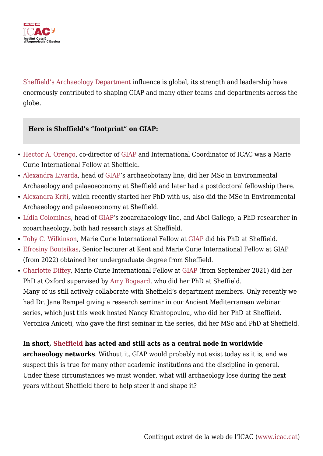

[Sheffield's Archaeology Department](https://www.sheffield.ac.uk/archaeology) influence is global, its strength and leadership have enormously contributed to shaping GIAP and many other teams and departments across the globe.

#### **Here is Sheffield's "footprint" on GIAP:**

- [Hector A. Orengo](https://icac.cat/en/who-are-we/staff/horengo/), co-director of [GIAP](https://giap.icac.cat/) and International Coordinator of ICAC was a Marie Curie International Fellow at Sheffield.
- [Alexandra Livarda](https://icac.cat/en/who-are-we/staff/alivarda/), head of [GIAP](https://giap.icac.cat/)'s archaeobotany line, did her MSc in Environmental Archaeology and palaeoeconomy at Sheffield and later had a postdoctoral fellowship there.
- [Alexandra Kriti](https://icac.cat/en/who-are-we/staff/akriti/), which recently started her PhD with us, also did the MSc in Environmental Archaeology and palaeoeconomy at Sheffield.
- [Lídia Colominas,](https://icac.cat/en/who-are-we/staff/lcolominas/) head of [GIAP'](https://giap.icac.cat/)s zooarchaeology line, and Abel Gallego, a PhD researcher in zooarchaeology, both had research stays at Sheffield.
- [Toby C. Wilkinson,](https://icac.cat/en/who-are-we/staff/twilkinson/) Marie Curie International Fellow at [GIAP d](https://giap.icac.cat/)id his PhD at Sheffield.
- [Efrosiny Boutsikas,](https://kent.academia.edu/EfrosyniBoutsikas) Senior lecturer at Kent and Marie Curie International Fellow at GIAP (from 2022) obtained her undergraduate degree from Sheffield.
- [Charlotte Diffey](https://www.researchgate.net/profile/Charlotte-Diffey), Marie Curie International Fellow at [GIAP](https://giap.icac.cat/) (from September 2021) did her PhD at Oxford supervised by [Amy Bogaard](https://www.arch.ox.ac.uk/people/bogaard#/), who did her PhD at Sheffield. Many of us still actively collaborate with Sheffield's department members. Only recently we had Dr. Jane Rempel giving a research seminar in our Ancient Mediterranean webinar series, which just this week hosted Nancy Krahtopoulou, who did her PhD at Sheffield. Veronica Aniceti, who gave the first seminar in the series, did her MSc and PhD at Sheffield.

#### **In short, [Sheffield h](https://www.sheffield.ac.uk/archaeology)as acted and still acts as a central node in worldwide**

**archaeology networks**. Without it, GIAP would probably not exist today as it is, and we suspect this is true for many other academic institutions and the discipline in general. Under these circumstances we must wonder, what will archaeology lose during the next years without Sheffield there to help steer it and shape it?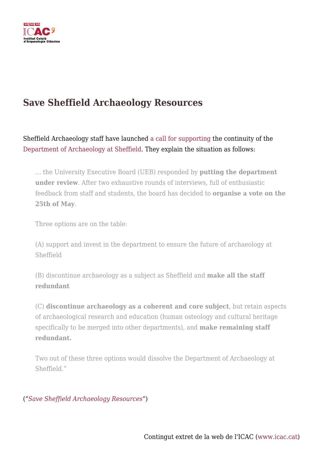

## **Save Sheffield Archaeology Resources**

Sheffield Archaeology staff have launched [a call for supporting t](https://sites.google.com/view/save-sheffield-archaeology)he continuity of the [Department of Archaeology at Sheffield](https://www.sheffield.ac.uk/archaeology). They explain the situation as follows:

… the University Executive Board (UEB) responded by **putting the department under review**. After two exhaustive rounds of interviews, full of enthusiastic feedback from staff and students, the board has decided to **organise a vote on the 25th of May**.

Three options are on the table:

(A) support and invest in the department to ensure the future of archaeology at Sheffield

(B) discontinue archaeology as a subject as Sheffield and **make all the staff redundant**

(C) **discontinue archaeology as a coherent and core subject**, but retain aspects of archaeological research and education (human osteology and cultural heritage specifically to be merged into other departments), and **make remaining staff redundant.**

Two out of these three options would dissolve the Department of Archaeology at Sheffield."

("*[Save Sheffield Archaeology Resources](https://sites.google.com/view/save-sheffield-archaeology)*")